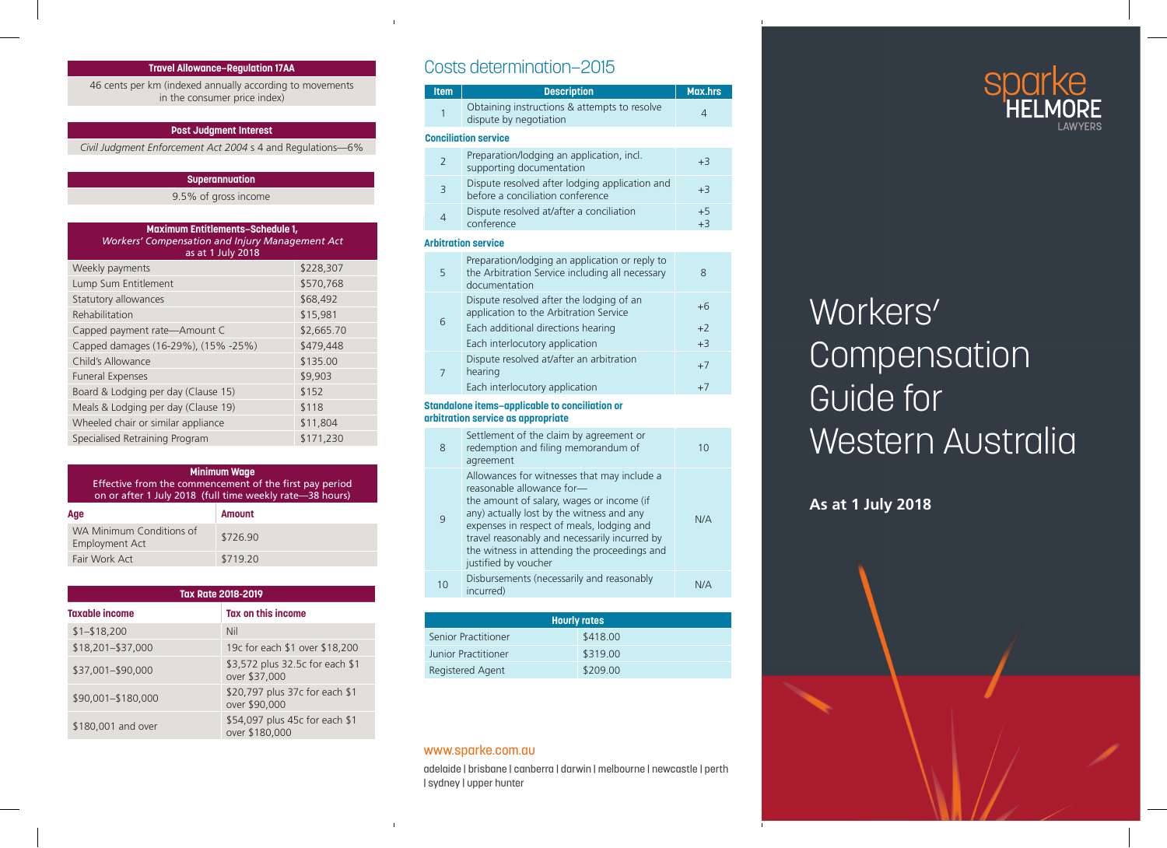

Í

# Workers' **Compensation** Guide for Western Australia

**As at 1 July 2018**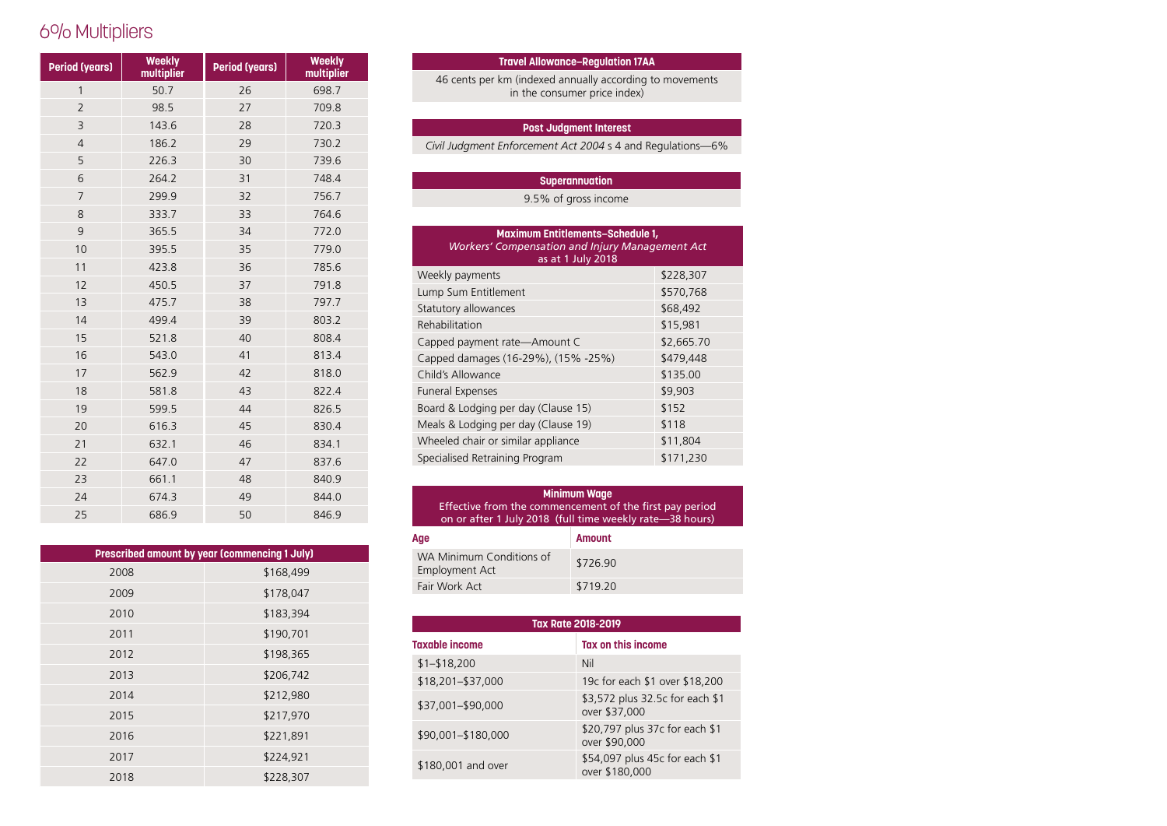## 6% Multipliers

| <b>Period (years)</b> | <b>Weekly</b><br>multiplier | <b>Period (years)</b> | <b>Weekly</b><br>multiplier |
|-----------------------|-----------------------------|-----------------------|-----------------------------|
| $\mathbf{1}$          | 50.7                        | 26                    | 698.7                       |
| $\overline{2}$        | 98.5                        | 27                    | 709.8                       |
| 3                     | 143.6                       | 28                    | 720.3                       |
| $\overline{4}$        | 186.2                       | 29                    | 730.2                       |
| 5                     | 226.3                       | 30                    | 739.6                       |
| 6                     | 264.2                       | 31                    | 748.4                       |
| $\overline{7}$        | 299.9                       | 32                    | 756.7                       |
| 8                     | 333.7                       | 33                    | 764.6                       |
| 9                     | 365.5                       | 34                    | 772.0                       |
| 10                    | 395.5                       | 35                    | 779.0                       |
| 11                    | 423.8                       | 36                    | 785.6                       |
| 12                    | 450.5                       | 37                    | 791.8                       |
| 13                    | 475.7                       | 38                    | 797.7                       |
| 14                    | 499.4                       | 39                    | 803.2                       |
| 15                    | 521.8                       | 40                    | 808.4                       |
| 16                    | 543.0                       | 41                    | 813.4                       |
| 17                    | 562.9                       | 42                    | 818.0                       |
| 18                    | 581.8                       | 43                    | 822.4                       |
| 19                    | 599.5                       | 44                    | 826.5                       |
| 20                    | 616.3                       | 45                    | 830.4                       |
| 21                    | 632.1                       | 46                    | 834.1                       |
| 22                    | 647.0                       | 47                    | 837.6                       |
| 23                    | 661.1                       | 48                    | 840.9                       |
| 24                    | 674.3                       | 49                    | 844.0                       |
| 25                    | 686.9                       | 50                    | 846.9                       |

| Prescribed amount by year (commencing 1 July) |           |  |  |
|-----------------------------------------------|-----------|--|--|
| 2008                                          | \$168,499 |  |  |
| 2009                                          | \$178,047 |  |  |
| 2010                                          | \$183,394 |  |  |
| 2011                                          | \$190,701 |  |  |
| 2012                                          | \$198,365 |  |  |
| 2013                                          | \$206,742 |  |  |
| 2014                                          | \$212,980 |  |  |
| 2015                                          | \$217,970 |  |  |
| 2016                                          | \$221,891 |  |  |
| 2017                                          | \$224,921 |  |  |
| 2018                                          | \$228,307 |  |  |

#### **Item Description Travel Allowance–Regulation 17AA**

**Sight** 46 cents per km (indexed annually according to movements 1/40 Total loss/impairment of sight both eyes 100% in the consumer price index)

#### 2/41 Total loss/impairment of sight of an only eye 100% **Post Judgment Interest**

Civil Judgment Enforcement Act 2004 s 4 and Regulations-6%

 $\mathcal{A} = \{ \mathcal{A} \mid \mathcal{A} \in \mathcal{A} \}$  , single one eye and serious of one eye and serious

#### diminution of the sight of the other eye 75% **Superannuation**

example. The binocular vision of gross income that the binocular vision  $9.5\%$  of gross income

| <b>Maximum Entitlements-Schedule 1,</b><br><b>Workers' Compensation and Injury Management Act</b><br>as at 1 July 2018 |  |  |  |
|------------------------------------------------------------------------------------------------------------------------|--|--|--|
| \$228,307                                                                                                              |  |  |  |
| \$570,768                                                                                                              |  |  |  |
| \$68,492                                                                                                               |  |  |  |
| \$15,981                                                                                                               |  |  |  |
| \$2,665.70                                                                                                             |  |  |  |
| \$479,448                                                                                                              |  |  |  |
| \$135.00                                                                                                               |  |  |  |
| \$9,903                                                                                                                |  |  |  |
| \$152                                                                                                                  |  |  |  |
| \$118                                                                                                                  |  |  |  |
| \$11,804                                                                                                               |  |  |  |
| \$171,230                                                                                                              |  |  |  |
|                                                                                                                        |  |  |  |

#### 12/50 Total loss/impairment of smell 25% on or after 1 July 2018 (full time weekly rate—38 hours) **Minimum Wage** Effective from the commencement of the first pay period

| Aqe                                        | <b>Amount</b> |
|--------------------------------------------|---------------|
| WA Minimum Conditions of<br>Employment Act | \$726.90      |
| Fair Work Act                              | \$719.20      |

| <b>Tax Rate 2018-2019</b> |                                                  |  |
|---------------------------|--------------------------------------------------|--|
| <b>Taxable income</b>     | Tax on this income                               |  |
| $$1 - $18,200$            | Nil                                              |  |
| \$18,201-\$37,000         | 19c for each \$1 over \$18,200                   |  |
| \$37,001-\$90,000         | \$3,572 plus 32.5c for each \$1<br>over \$37,000 |  |
| \$90,001-\$180,000        | \$20,797 plus 37c for each \$1<br>over \$90,000  |  |
| \$180,001 and over        | \$54,097 plus 45c for each \$1<br>over \$180,000 |  |